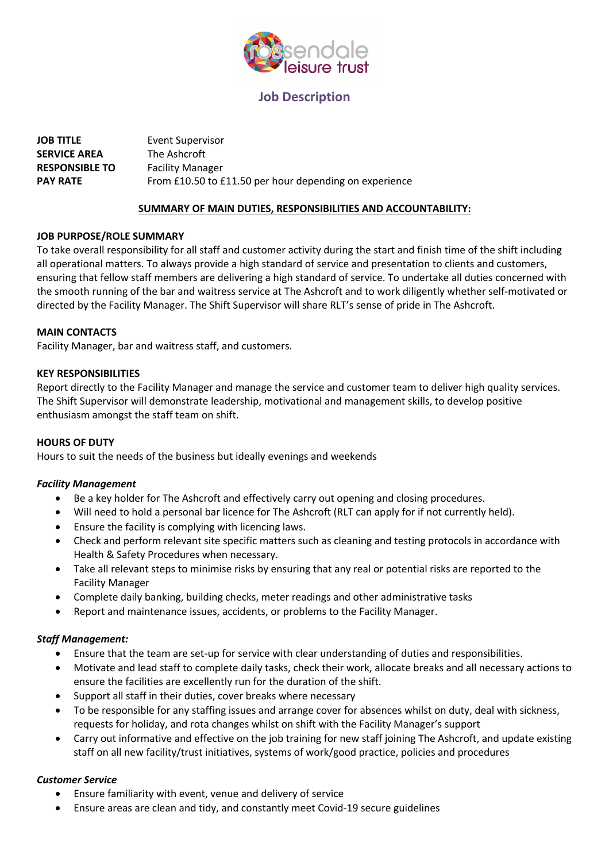

# **Job Description**

| <b>JOB TITLE</b>      | Event Supervisor                                       |
|-----------------------|--------------------------------------------------------|
| <b>SERVICE AREA</b>   | The Ashcroft                                           |
| <b>RESPONSIBLE TO</b> | <b>Facility Manager</b>                                |
| <b>PAY RATE</b>       | From £10.50 to £11.50 per hour depending on experience |

## **SUMMARY OF MAIN DUTIES, RESPONSIBILITIES AND ACCOUNTABILITY:**

#### **JOB PURPOSE/ROLE SUMMARY**

To take overall responsibility for all staff and customer activity during the start and finish time of the shift including all operational matters. To always provide a high standard of service and presentation to clients and customers, ensuring that fellow staff members are delivering a high standard of service. To undertake all duties concerned with the smooth running of the bar and waitress service at The Ashcroft and to work diligently whether self-motivated or directed by the Facility Manager. The Shift Supervisor will share RLT's sense of pride in The Ashcroft.

#### **MAIN CONTACTS**

Facility Manager, bar and waitress staff, and customers.

#### **KEY RESPONSIBILITIES**

Report directly to the Facility Manager and manage the service and customer team to deliver high quality services. The Shift Supervisor will demonstrate leadership, motivational and management skills, to develop positive enthusiasm amongst the staff team on shift.

# **HOURS OF DUTY**

Hours to suit the needs of the business but ideally evenings and weekends

# *Facility Management*

- Be a key holder for The Ashcroft and effectively carry out opening and closing procedures.
- Will need to hold a personal bar licence for The Ashcroft (RLT can apply for if not currently held).
- Ensure the facility is complying with licencing laws.
- Check and perform relevant site specific matters such as cleaning and testing protocols in accordance with Health & Safety Procedures when necessary.
- Take all relevant steps to minimise risks by ensuring that any real or potential risks are reported to the Facility Manager
- Complete daily banking, building checks, meter readings and other administrative tasks
- Report and maintenance issues, accidents, or problems to the Facility Manager.

# *Staff Management:*

- Ensure that the team are set-up for service with clear understanding of duties and responsibilities.
- Motivate and lead staff to complete daily tasks, check their work, allocate breaks and all necessary actions to ensure the facilities are excellently run for the duration of the shift.
- Support all staff in their duties, cover breaks where necessary
- To be responsible for any staffing issues and arrange cover for absences whilst on duty, deal with sickness, requests for holiday, and rota changes whilst on shift with the Facility Manager's support
- Carry out informative and effective on the job training for new staff joining The Ashcroft, and update existing staff on all new facility/trust initiatives, systems of work/good practice, policies and procedures

# *Customer Service*

- Ensure familiarity with event, venue and delivery of service
- Ensure areas are clean and tidy, and constantly meet Covid-19 secure guidelines